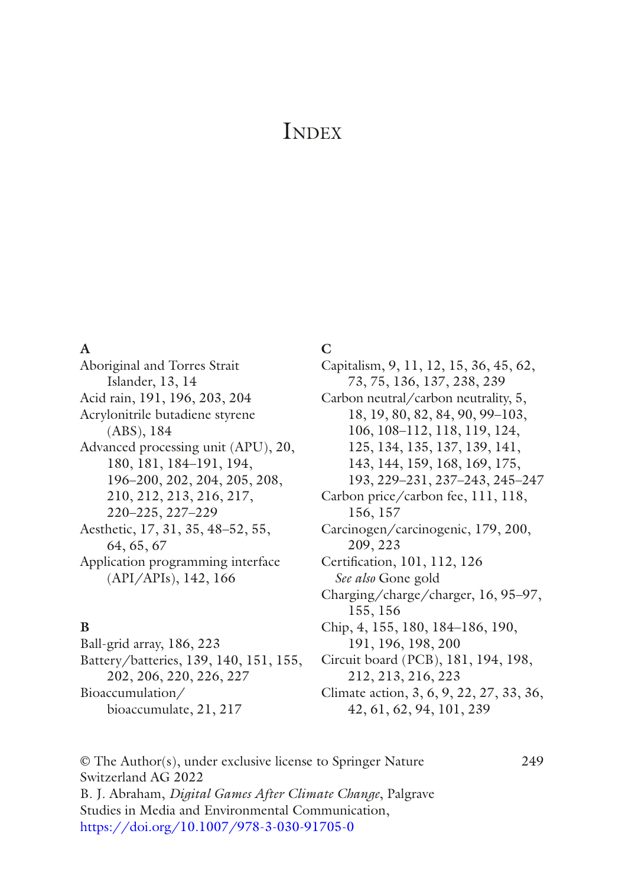# **INDEX**

#### **A**

Aboriginal and Torres Strait Islander, 13, 14 Acid rain, 191, 196, 203, 204 Acrylonitrile butadiene styrene (ABS), 184 Advanced processing unit (APU), 20, 180, 181, 184–191, 194, 196–200, 202, 204, 205, 208, 210, 212, 213, 216, 217, 220–225, 227–229 Aesthetic, 17, 31, 35, 48–52, 55, 64, 65, 67 Application programming interface (API/APIs), 142, 166

### **B**

Ball-grid array, 186, 223 Battery/batteries, 139, 140, 151, 155, 202, 206, 220, 226, 227 Bioaccumulation/ bioaccumulate, 21, 217

#### **C**

Capitalism, 9, 11, 12, 15, 36, 45, 62, 73, 75, 136, 137, 238, 239 Carbon neutral/carbon neutrality, 5, 18, 19, 80, 82, 84, 90, 99–103, 106, 108–112, 118, 119, 124, 125, 134, 135, 137, 139, 141, 143, 144, 159, 168, 169, 175, 193, 229–231, 237–243, 245–247 Carbon price/carbon fee, 111, 118, 156, 157 Carcinogen/carcinogenic, 179, 200, 209, 223 Certifcation, 101, 112, 126 *See also* Gone gold Charging/charge/charger, 16, 95–97, 155, 156 Chip, 4, 155, 180, 184–186, 190, 191, 196, 198, 200 Circuit board (PCB), 181, 194, 198, 212, 213, 216, 223 Climate action, 3, 6, 9, 22, 27, 33, 36, 42, 61, 62, 94, 101, 239

© The Author(s), under exclusive license to Springer Nature 249 Switzerland AG 2022 B. J. Abraham, *Digital Games After Climate Change*, Palgrave Studies in Media and Environmental Communication, [https://doi.org/10.1007/978-3-030-91705-0](https://doi.org/10.1007/978-3-030-91705-0#DOI)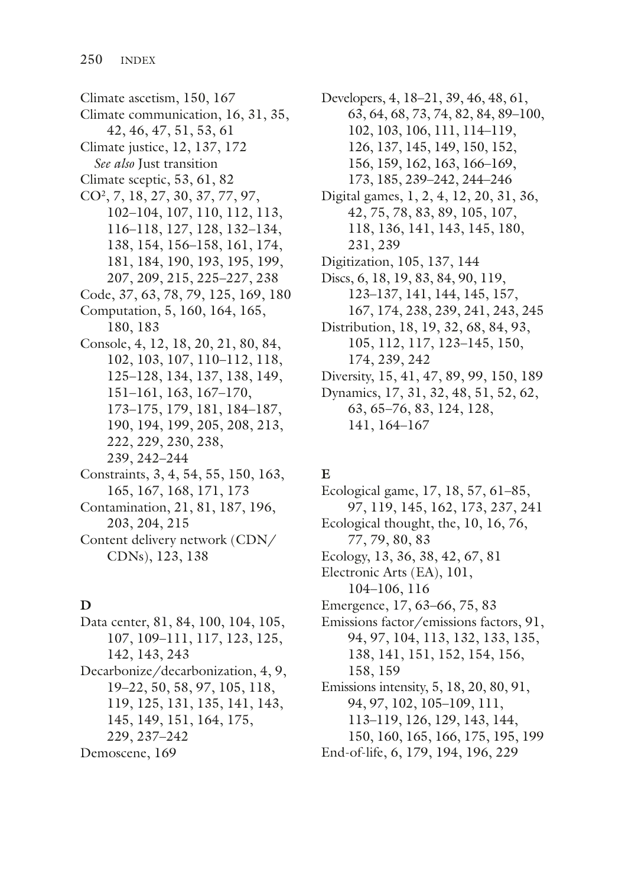Climate ascetism, 150, 167 Climate communication, 16, 31, 35, 42, 46, 47, 51, 53, 61 Climate justice, 12, 137, 172 *See also* Just transition Climate sceptic, 53, 61, 82 CO2, 7, 18, 27, 30, 37, 77, 97, 102–104, 107, 110, 112, 113, 116–118, 127, 128, 132–134, 138, 154, 156–158, 161, 174, 181, 184, 190, 193, 195, 199, 207, 209, 215, 225–227, 238 Code, 37, 63, 78, 79, 125, 169, 180 Computation, 5, 160, 164, 165, 180, 183 Console, 4, 12, 18, 20, 21, 80, 84, 102, 103, 107, 110–112, 118, 125–128, 134, 137, 138, 149, 151–161, 163, 167–170, 173–175, 179, 181, 184–187, 190, 194, 199, 205, 208, 213, 222, 229, 230, 238, 239, 242–244 Constraints, 3, 4, 54, 55, 150, 163, 165, 167, 168, 171, 173 Contamination, 21, 81, 187, 196, 203, 204, 215 Content delivery network (CDN/ CDNs), 123, 138

### **D**

Data center, 81, 84, 100, 104, 105, 107, 109–111, 117, 123, 125, 142, 143, 243 Decarbonize/decarbonization, 4, 9, 19–22, 50, 58, 97, 105, 118, 119, 125, 131, 135, 141, 143, 145, 149, 151, 164, 175, 229, 237–242 Demoscene, 169

Developers, 4, 18–21, 39, 46, 48, 61, 63, 64, 68, 73, 74, 82, 84, 89–100, 102, 103, 106, 111, 114–119, 126, 137, 145, 149, 150, 152, 156, 159, 162, 163, 166–169, 173, 185, 239–242, 244–246 Digital games, 1, 2, 4, 12, 20, 31, 36, 42, 75, 78, 83, 89, 105, 107, 118, 136, 141, 143, 145, 180, 231, 239 Digitization, 105, 137, 144 Discs, 6, 18, 19, 83, 84, 90, 119, 123–137, 141, 144, 145, 157, 167, 174, 238, 239, 241, 243, 245 Distribution, 18, 19, 32, 68, 84, 93, 105, 112, 117, 123–145, 150, 174, 239, 242 Diversity, 15, 41, 47, 89, 99, 150, 189 Dynamics, 17, 31, 32, 48, 51, 52, 62, 63, 65–76, 83, 124, 128, 141, 164–167

# **E**

Ecological game, 17, 18, 57, 61–85, 97, 119, 145, 162, 173, 237, 241 Ecological thought, the, 10, 16, 76, 77, 79, 80, 83 Ecology, 13, 36, 38, 42, 67, 81 Electronic Arts (EA), 101, 104–106, 116 Emergence, 17, 63–66, 75, 83 Emissions factor/emissions factors, 91, 94, 97, 104, 113, 132, 133, 135, 138, 141, 151, 152, 154, 156, 158, 159 Emissions intensity, 5, 18, 20, 80, 91, 94, 97, 102, 105–109, 111, 113–119, 126, 129, 143, 144, 150, 160, 165, 166, 175, 195, 199 End-of-life, 6, 179, 194, 196, 229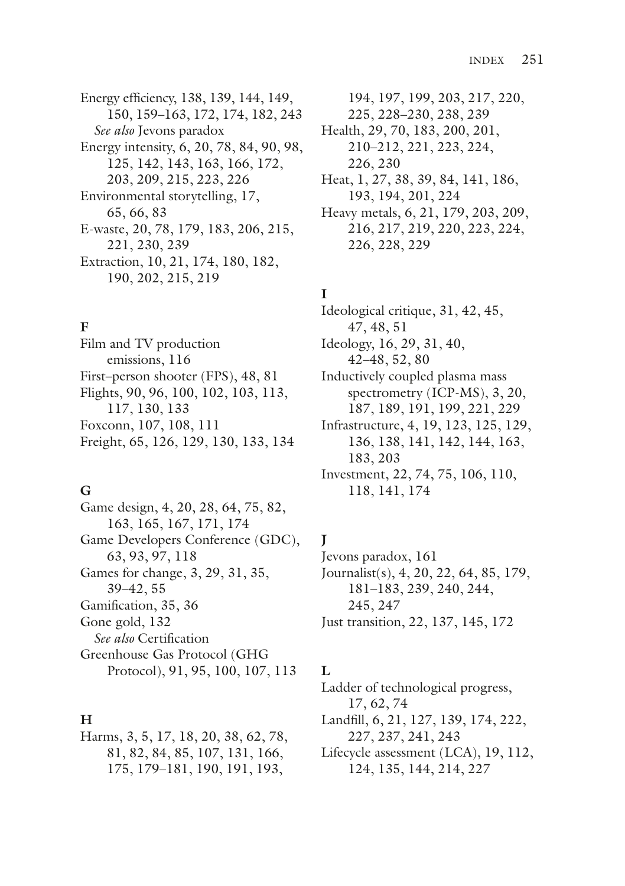Energy efficiency, 138, 139, 144, 149, 150, 159–163, 172, 174, 182, 243 *See also* Jevons paradox Energy intensity, 6, 20, 78, 84, 90, 98, 125, 142, 143, 163, 166, 172, 203, 209, 215, 223, 226 Environmental storytelling, 17, 65, 66, 83 E-waste, 20, 78, 179, 183, 206, 215, 221, 230, 239 Extraction, 10, 21, 174, 180, 182, 190, 202, 215, 219

#### **F**

Film and TV production emissions, 116 First–person shooter (FPS), 48, 81 Flights, 90, 96, 100, 102, 103, 113, 117, 130, 133 Foxconn, 107, 108, 111 Freight, 65, 126, 129, 130, 133, 134

#### **G**

Game design, 4, 20, 28, 64, 75, 82, 163, 165, 167, 171, 174 Game Developers Conference (GDC), 63, 93, 97, 118 Games for change, 3, 29, 31, 35, 39–42, 55 Gamifcation, 35, 36 Gone gold, 132 *See also* Certifcation Greenhouse Gas Protocol (GHG Protocol), 91, 95, 100, 107, 113

### **H**

Harms, 3, 5, 17, 18, 20, 38, 62, 78, 81, 82, 84, 85, 107, 131, 166, 175, 179–181, 190, 191, 193,

194, 197, 199, 203, 217, 220, 225, 228–230, 238, 239 Health, 29, 70, 183, 200, 201, 210–212, 221, 223, 224, 226, 230 Heat, 1, 27, 38, 39, 84, 141, 186, 193, 194, 201, 224 Heavy metals, 6, 21, 179, 203, 209, 216, 217, 219, 220, 223, 224, 226, 228, 229

# **I**

Ideological critique, 31, 42, 45, 47, 48, 51 Ideology, 16, 29, 31, 40, 42–48, 52, 80 Inductively coupled plasma mass spectrometry (ICP-MS), 3, 20, 187, 189, 191, 199, 221, 229 Infrastructure, 4, 19, 123, 125, 129, 136, 138, 141, 142, 144, 163, 183, 203

Investment, 22, 74, 75, 106, 110, 118, 141, 174

### **J**

Jevons paradox, 161 Journalist(s), 4, 20, 22, 64, 85, 179, 181–183, 239, 240, 244, 245, 247 Just transition, 22, 137, 145, 172

### **L**

Ladder of technological progress, 17, 62, 74 Landfll, 6, 21, 127, 139, 174, 222, 227, 237, 241, 243 Lifecycle assessment (LCA), 19, 112, 124, 135, 144, 214, 227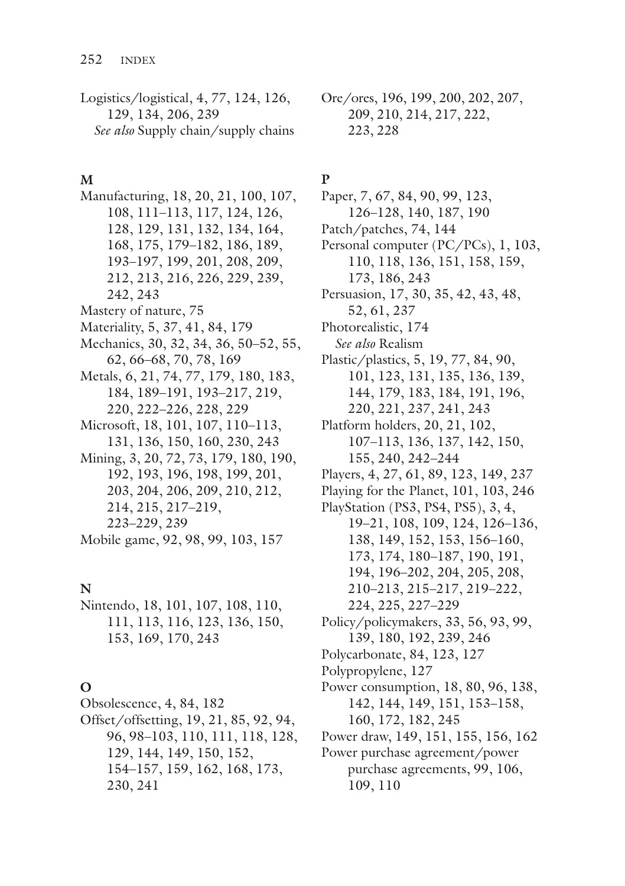Logistics/logistical, 4, 77, 124, 126, 129, 134, 206, 239 *See also* Supply chain/supply chains

# **M**

Manufacturing, 18, 20, 21, 100, 107, 108, 111–113, 117, 124, 126, 128, 129, 131, 132, 134, 164, 168, 175, 179–182, 186, 189, 193–197, 199, 201, 208, 209, 212, 213, 216, 226, 229, 239, 242, 243 Mastery of nature, 75 Materiality, 5, 37, 41, 84, 179 Mechanics, 30, 32, 34, 36, 50–52, 55, 62, 66–68, 70, 78, 169 Metals, 6, 21, 74, 77, 179, 180, 183, 184, 189–191, 193–217, 219, 220, 222–226, 228, 229 Microsoft, 18, 101, 107, 110–113, 131, 136, 150, 160, 230, 243 Mining, 3, 20, 72, 73, 179, 180, 190, 192, 193, 196, 198, 199, 201, 203, 204, 206, 209, 210, 212, 214, 215, 217–219, 223–229, 239 Mobile game, 92, 98, 99, 103, 157

# **N**

Nintendo, 18, 101, 107, 108, 110, 111, 113, 116, 123, 136, 150, 153, 169, 170, 243

# **O**

- Obsolescence, 4, 84, 182
- Offset/offsetting, 19, 21, 85, 92, 94, 96, 98–103, 110, 111, 118, 128, 129, 144, 149, 150, 152, 154–157, 159, 162, 168, 173, 230, 241

Ore/ores, 196, 199, 200, 202, 207, 209, 210, 214, 217, 222, 223, 228

# **P**

Paper, 7, 67, 84, 90, 99, 123, 126–128, 140, 187, 190 Patch/patches, 74, 144 Personal computer (PC/PCs), 1, 103, 110, 118, 136, 151, 158, 159, 173, 186, 243 Persuasion, 17, 30, 35, 42, 43, 48, 52, 61, 237 Photorealistic, 174 *See also* Realism Plastic/plastics, 5, 19, 77, 84, 90, 101, 123, 131, 135, 136, 139, 144, 179, 183, 184, 191, 196, 220, 221, 237, 241, 243 Platform holders, 20, 21, 102, 107–113, 136, 137, 142, 150, 155, 240, 242–244 Players, 4, 27, 61, 89, 123, 149, 237 Playing for the Planet, 101, 103, 246 PlayStation (PS3, PS4, PS5), 3, 4, 19–21, 108, 109, 124, 126–136, 138, 149, 152, 153, 156–160, 173, 174, 180–187, 190, 191, 194, 196–202, 204, 205, 208, 210–213, 215–217, 219–222, 224, 225, 227–229 Policy/policymakers, 33, 56, 93, 99, 139, 180, 192, 239, 246 Polycarbonate, 84, 123, 127 Polypropylene, 127 Power consumption, 18, 80, 96, 138, 142, 144, 149, 151, 153–158, 160, 172, 182, 245 Power draw, 149, 151, 155, 156, 162 Power purchase agreement/power purchase agreements, 99, 106, 109, 110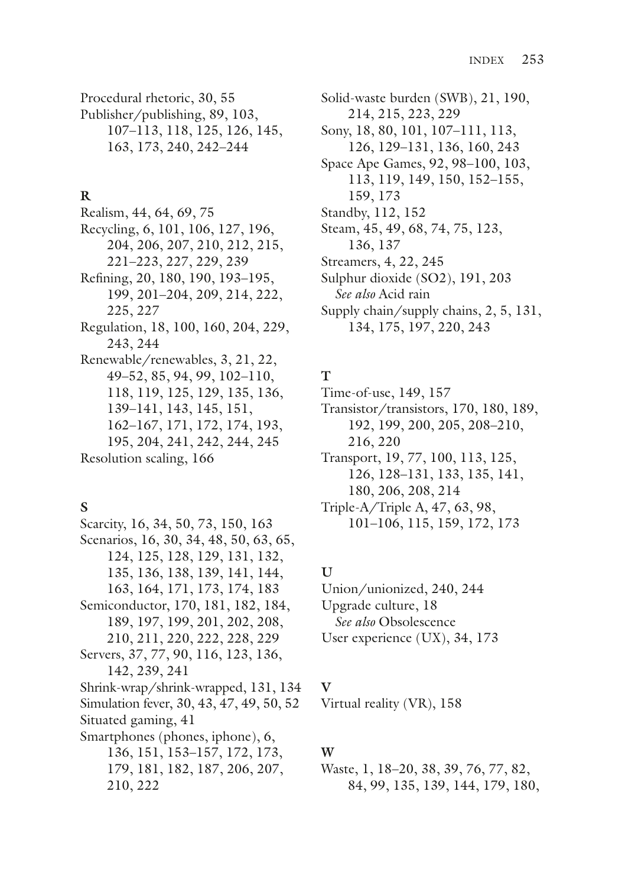Procedural rhetoric, 30, 55 Publisher/publishing, 89, 103, 107–113, 118, 125, 126, 145, 163, 173, 240, 242–244

#### **R**

Realism, 44, 64, 69, 75 Recycling, 6, 101, 106, 127, 196, 204, 206, 207, 210, 212, 215, 221–223, 227, 229, 239 Refning, 20, 180, 190, 193–195, 199, 201–204, 209, 214, 222, 225, 227 Regulation, 18, 100, 160, 204, 229, 243, 244 Renewable/renewables, 3, 21, 22, 49–52, 85, 94, 99, 102–110, 118, 119, 125, 129, 135, 136, 139–141, 143, 145, 151, 162–167, 171, 172, 174, 193, 195, 204, 241, 242, 244, 245 Resolution scaling, 166

### **S**

Scarcity, 16, 34, 50, 73, 150, 163 Scenarios, 16, 30, 34, 48, 50, 63, 65, 124, 125, 128, 129, 131, 132, 135, 136, 138, 139, 141, 144, 163, 164, 171, 173, 174, 183 Semiconductor, 170, 181, 182, 184, 189, 197, 199, 201, 202, 208, 210, 211, 220, 222, 228, 229 Servers, 37, 77, 90, 116, 123, 136, 142, 239, 241 Shrink-wrap/shrink-wrapped, 131, 134 Simulation fever, 30, 43, 47, 49, 50, 52 Situated gaming, 41 Smartphones (phones, iphone), 6, 136, 151, 153–157, 172, 173, 179, 181, 182, 187, 206, 207, 210, 222

Solid-waste burden (SWB), 21, 190, 214, 215, 223, 229 Sony, 18, 80, 101, 107–111, 113, 126, 129–131, 136, 160, 243 Space Ape Games, 92, 98–100, 103, 113, 119, 149, 150, 152–155, 159, 173 Standby, 112, 152 Steam, 45, 49, 68, 74, 75, 123, 136, 137 Streamers, 4, 22, 245 Sulphur dioxide (SO2), 191, 203 *See also* Acid rain Supply chain/supply chains, 2, 5, 131, 134, 175, 197, 220, 243

### **T**

Time-of-use, 149, 157

Transistor/transistors, 170, 180, 189, 192, 199, 200, 205, 208–210, 216, 220

Transport, 19, 77, 100, 113, 125, 126, 128–131, 133, 135, 141, 180, 206, 208, 214

Triple-A/Triple A, 47, 63, 98, 101–106, 115, 159, 172, 173

# **U**

Union/unionized, 240, 244 Upgrade culture, 18 *See also* Obsolescence User experience (UX), 34, 173

### **V**

Virtual reality (VR), 158

# **W**

Waste, 1, 18–20, 38, 39, 76, 77, 82, 84, 99, 135, 139, 144, 179, 180,